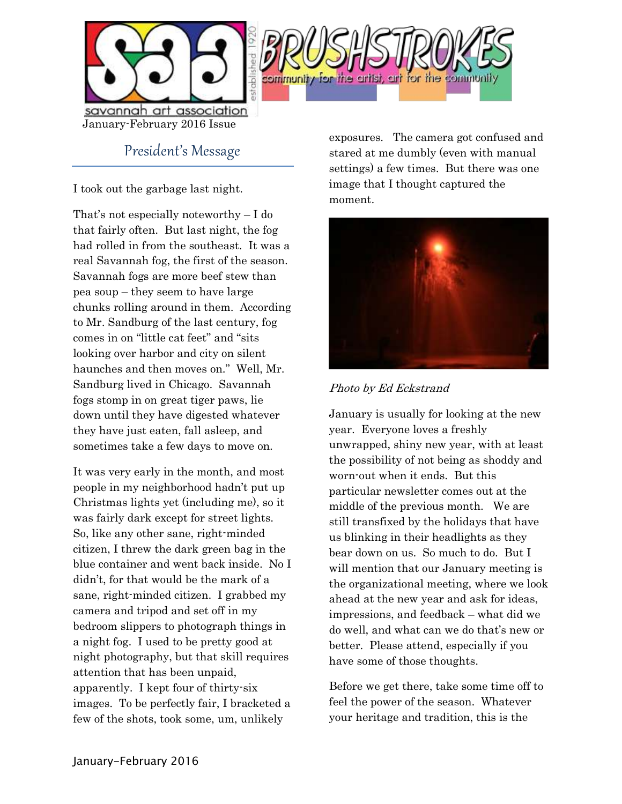



President's Message

I took out the garbage last night.

That's not especially noteworthy – I do that fairly often. But last night, the fog had rolled in from the southeast. It was a real Savannah fog, the first of the season. Savannah fogs are more beef stew than pea soup – they seem to have large chunks rolling around in them. According to Mr. Sandburg of the last century, fog comes in on "little cat feet" and "sits looking over harbor and city on silent haunches and then moves on." Well, Mr. Sandburg lived in Chicago. Savannah fogs stomp in on great tiger paws, lie down until they have digested whatever they have just eaten, fall asleep, and sometimes take a few days to move on.

It was very early in the month, and most people in my neighborhood hadn't put up Christmas lights yet (including me), so it was fairly dark except for street lights. So, like any other sane, right-minded citizen, I threw the dark green bag in the blue container and went back inside. No I didn't, for that would be the mark of a sane, right-minded citizen. I grabbed my camera and tripod and set off in my bedroom slippers to photograph things in a night fog. I used to be pretty good at night photography, but that skill requires attention that has been unpaid, apparently. I kept four of thirty-six images. To be perfectly fair, I bracketed a few of the shots, took some, um, unlikely

exposures. The camera got confused and stared at me dumbly (even with manual settings) a few times. But there was one image that I thought captured the moment.



## Photo by Ed Eckstrand

January is usually for looking at the new year. Everyone loves a freshly unwrapped, shiny new year, with at least the possibility of not being as shoddy and worn-out when it ends. But this particular newsletter comes out at the middle of the previous month. We are still transfixed by the holidays that have us blinking in their headlights as they bear down on us. So much to do. But I will mention that our January meeting is the organizational meeting, where we look ahead at the new year and ask for ideas, impressions, and feedback – what did we do well, and what can we do that's new or better. Please attend, especially if you have some of those thoughts.

Before we get there, take some time off to feel the power of the season. Whatever your heritage and tradition, this is the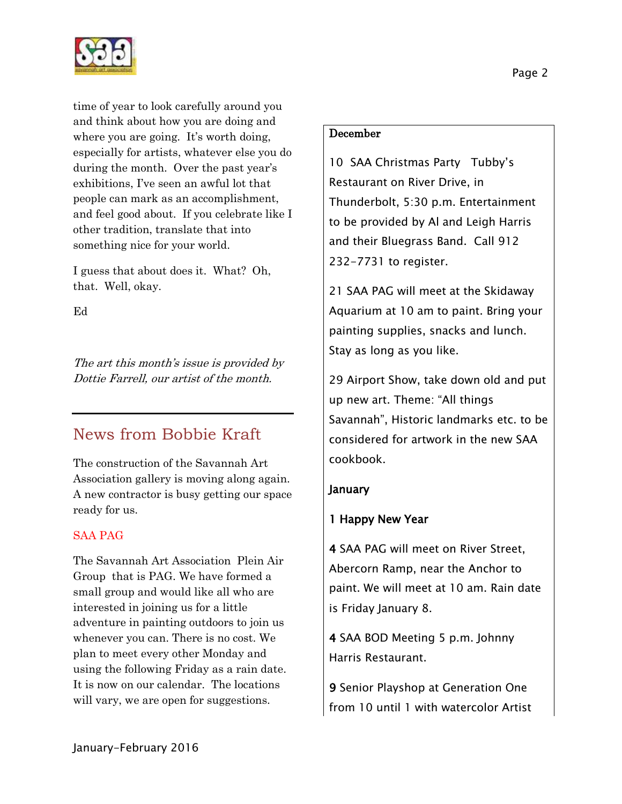

time of year to look carefully around you and think about how you are doing and where you are going. It's worth doing, especially for artists, whatever else you do during the month. Over the past year's exhibitions, I've seen an awful lot that people can mark as an accomplishment, and feel good about. If you celebrate like I other tradition, translate that into something nice for your world.

I guess that about does it. What? Oh, that. Well, okay.

Ed

The art this month's issue is provided by Dottie Farrell, our artist of the month.

# News from Bobbie Kraft

The construction of the Savannah Art Association gallery is moving along again. A new contractor is busy getting our space ready for us.

## SAA PAG

The Savannah Art Association Plein Air Group that is PAG. We have formed a small group and would like all who are interested in joining us for a little adventure in painting outdoors to join us whenever you can. There is no cost. We plan to meet every other Monday and using the following Friday as a rain date. It is now on our calendar. The locations will vary, we are open for suggestions.

### December

10 SAA Christmas Party Tubby's Restaurant on River Drive, in Thunderbolt, 5:30 p.m. Entertainment to be provided by Al and Leigh Harris and their Bluegrass Band. Call 912 232-7731 to register.

21 SAA PAG will meet at the Skidaway Aquarium at 10 am to paint. Bring your painting supplies, snacks and lunch. Stay as long as you like.

29 Airport Show, take down old and put up new art. Theme: "All things Savannah", Historic landmarks etc. to be considered for artwork in the new SAA cookbook.

## January

## 1 Happy New Year

4 SAA PAG will meet on River Street, Abercorn Ramp, near the Anchor to paint. We will meet at 10 am. Rain date is Friday January 8.

4 SAA BOD Meeting 5 p.m. Johnny Harris Restaurant.

9 Senior Playshop at Generation One from 10 until 1 with watercolor Artist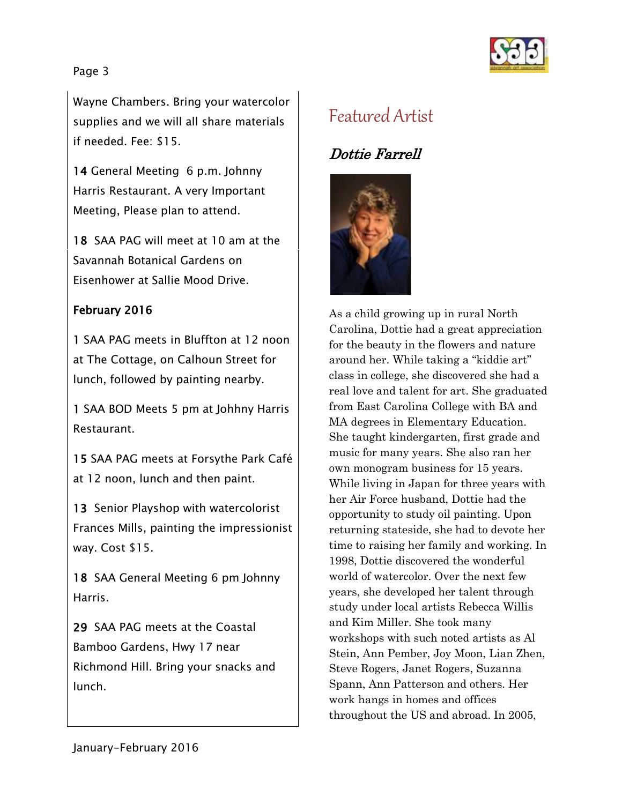

## Page 3

Wayne Chambers. Bring your watercolor supplies and we will all share materials if needed. Fee: \$15.

14 General Meeting 6 p.m. Johnny Harris Restaurant. A very Important Meeting, Please plan to attend.

18 SAA PAG will meet at 10 am at the Savannah Botanical Gardens on Eisenhower at Sallie Mood Drive.

# February 2016

1 SAA PAG meets in Bluffton at 12 noon at The Cottage, on Calhoun Street for lunch, followed by painting nearby.

1 SAA BOD Meets 5 pm at Johhny Harris Restaurant.

15 SAA PAG meets at Forsythe Park Café at 12 noon, lunch and then paint.

13 Senior Playshop with watercolorist Frances Mills, painting the impressionist way. Cost \$15.

18 SAA General Meeting 6 pm Johnny Harris.

29 SAA PAG meets at the Coastal Bamboo Gardens, Hwy 17 near Richmond Hill. Bring your snacks and lunch.

# Featured Artist

# Dottie Farrell



As a child growing up in rural North Carolina, Dottie had a great appreciation for the beauty in the flowers and nature around her. While taking a "kiddie art" class in college, she discovered she had a real love and talent for art. She graduated from East Carolina College with BA and MA degrees in Elementary Education. She taught kindergarten, first grade and music for many years. She also ran her own monogram business for 15 years. While living in Japan for three years with her Air Force husband, Dottie had the opportunity to study oil painting. Upon returning stateside, she had to devote her time to raising her family and working. In 1998, Dottie discovered the wonderful world of watercolor. Over the next few years, she developed her talent through study under local artists Rebecca Willis and Kim Miller. She took many workshops with such noted artists as Al Stein, Ann Pember, Joy Moon, Lian Zhen, Steve Rogers, Janet Rogers, Suzanna Spann, Ann Patterson and others. Her work hangs in homes and offices throughout the US and abroad. In 2005,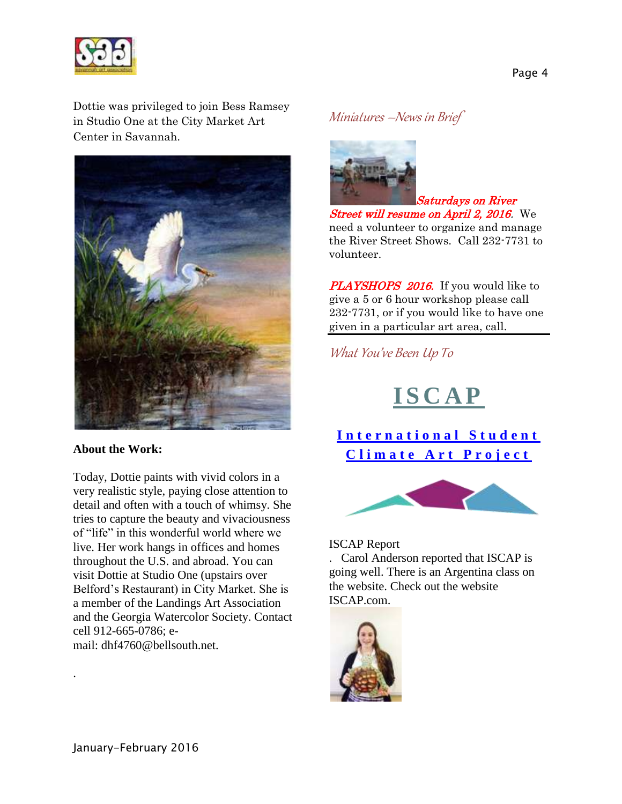

Dottie was privileged to join Bess Ramsey in Studio One at the City Market Art Center in Savannah.



**About the Work:**

Today, Dottie paints with vivid colors in a very realistic style, paying close attention to detail and often with a touch of whimsy. She tries to capture the beauty and vivaciousness of "life" in this wonderful world where we live. Her work hangs in offices and homes throughout the U.S. and abroad. You can visit Dottie at Studio One (upstairs over Belford's Restaurant) in City Market. She is a member of the Landings Art Association and the Georgia Watercolor Society. Contact cell 912-665-0786; email: dhf4760@bellsouth.net.

.

# Miniatures –News in Brief



Saturdays on River Street will resume on April 2, 2016. We need a volunteer to organize and manage the River Street Shows. Call 232-7731 to volunteer.

**PLAYSHOPS 2016.** If you would like to give a 5 or 6 hour workshop please call 232-7731, or if you would like to have one given in a particular art area, call.

What You've Been Up To

# **[I S C A P](http://www.iscapartproject.com/#%21home/mainPage)**

**[I n t e r n a t i o n a l S t u d e n t](http://www.iscapartproject.com/#%21home/mainPage)**  Climate Art Project



# ISCAP Report

. Carol Anderson reported that ISCAP is going well. There is an Argentina class on the website. Check out the website ISCAP.com.

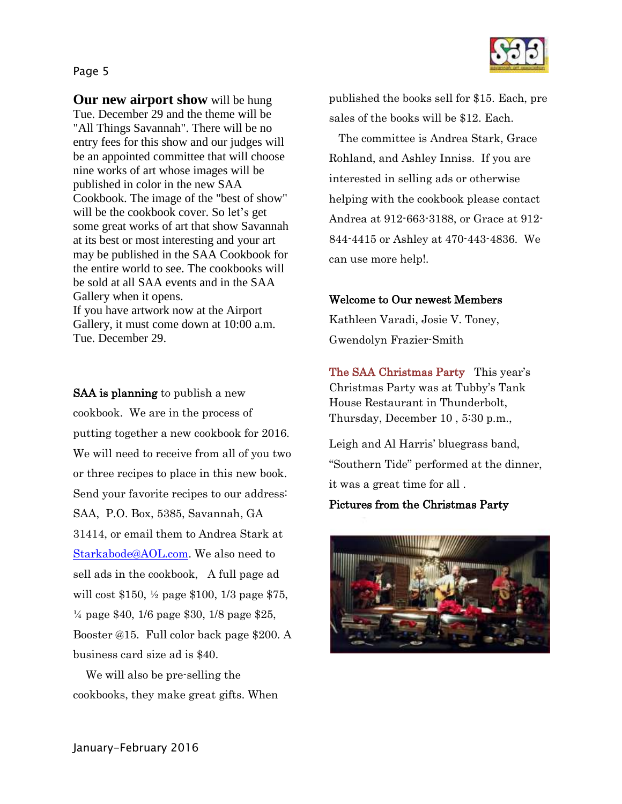



### SAA is planning to publish a new

cookbook. We are in the process of putting together a new cookbook for 2016. We will need to receive from all of you two or three recipes to place in this new book. Send your favorite recipes to our address: SAA, P.O. Box, 5385, Savannah, GA 31414, or email them to Andrea Stark at [Starkabode@AOL.com.](mailto:Starkabode@AOL.com) We also need to sell ads in the cookbook, A full page ad will cost \$150, ½ page \$100, 1/3 page \$75, ¼ page \$40, 1/6 page \$30, 1/8 page \$25, Booster @15. Full color back page \$200. A business card size ad is \$40.

 We will also be pre-selling the cookbooks, they make great gifts. When



 The committee is Andrea Stark, Grace Rohland, and Ashley Inniss. If you are interested in selling ads or otherwise helping with the cookbook please contact Andrea at 912-663-3188, or Grace at 912- 844-4415 or Ashley at 470-443-4836. We can use more help!.

### Welcome to Our newest Members

Kathleen Varadi, Josie V. Toney, Gwendolyn Frazier-Smith

The SAA Christmas Party This year's Christmas Party was at Tubby's Tank House Restaurant in Thunderbolt, Thursday, December 10 , 5:30 p.m.,

Leigh and Al Harris' bluegrass band, "Southern Tide" performed at the dinner, it was a great time for all .

### Pictures from the Christmas Party



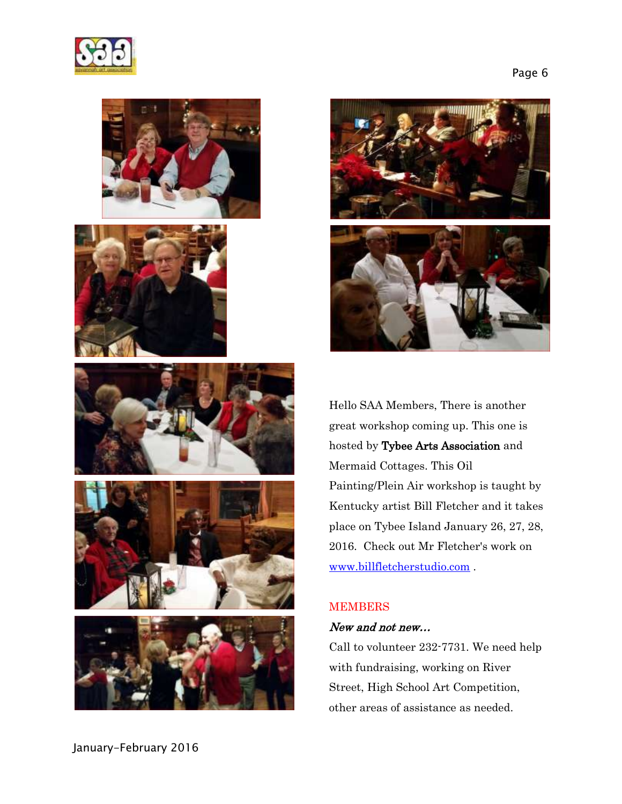













Hello SAA Members, There is another great workshop coming up. This one is hosted by Tybee Arts Association and Mermaid Cottages. This Oil Painting/Plein Air workshop is taught by Kentucky artist Bill Fletcher and it takes place on Tybee Island January 26, 27, 28, 2016. Check out Mr Fletcher's work on [www.billfletcherstudio.com](http://www.billfletcherstudio.com/) .

### MEMBERS

### New and not new…

Call to volunteer 232-7731. We need help with fundraising, working on River Street, High School Art Competition, other areas of assistance as needed.

Page 6

January-February 2016